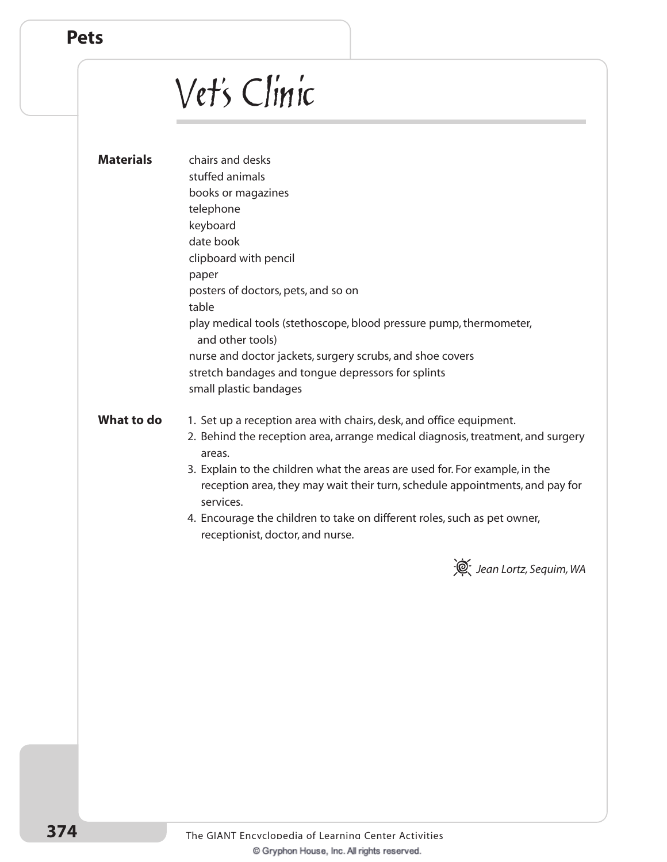## Vet's Clinic

| <b>Materials</b> | chairs and desks<br>stuffed animals<br>books or magazines<br>telephone                                                                                                   |
|------------------|--------------------------------------------------------------------------------------------------------------------------------------------------------------------------|
|                  | keyboard                                                                                                                                                                 |
|                  | date book<br>clipboard with pencil                                                                                                                                       |
|                  | paper                                                                                                                                                                    |
|                  | posters of doctors, pets, and so on                                                                                                                                      |
|                  | table                                                                                                                                                                    |
|                  | play medical tools (stethoscope, blood pressure pump, thermometer,<br>and other tools)                                                                                   |
|                  | nurse and doctor jackets, surgery scrubs, and shoe covers                                                                                                                |
|                  | stretch bandages and tongue depressors for splints                                                                                                                       |
|                  | small plastic bandages                                                                                                                                                   |
| What to do       | 1. Set up a reception area with chairs, desk, and office equipment.<br>2. Behind the reception area, arrange medical diagnosis, treatment, and surgery<br>areas.         |
|                  | 3. Explain to the children what the areas are used for. For example, in the<br>reception area, they may wait their turn, schedule appointments, and pay for<br>services. |
|                  | 4. Encourage the children to take on different roles, such as pet owner,<br>receptionist, doctor, and nurse.                                                             |
|                  | Jean Lortz, Sequim, WA                                                                                                                                                   |
|                  |                                                                                                                                                                          |